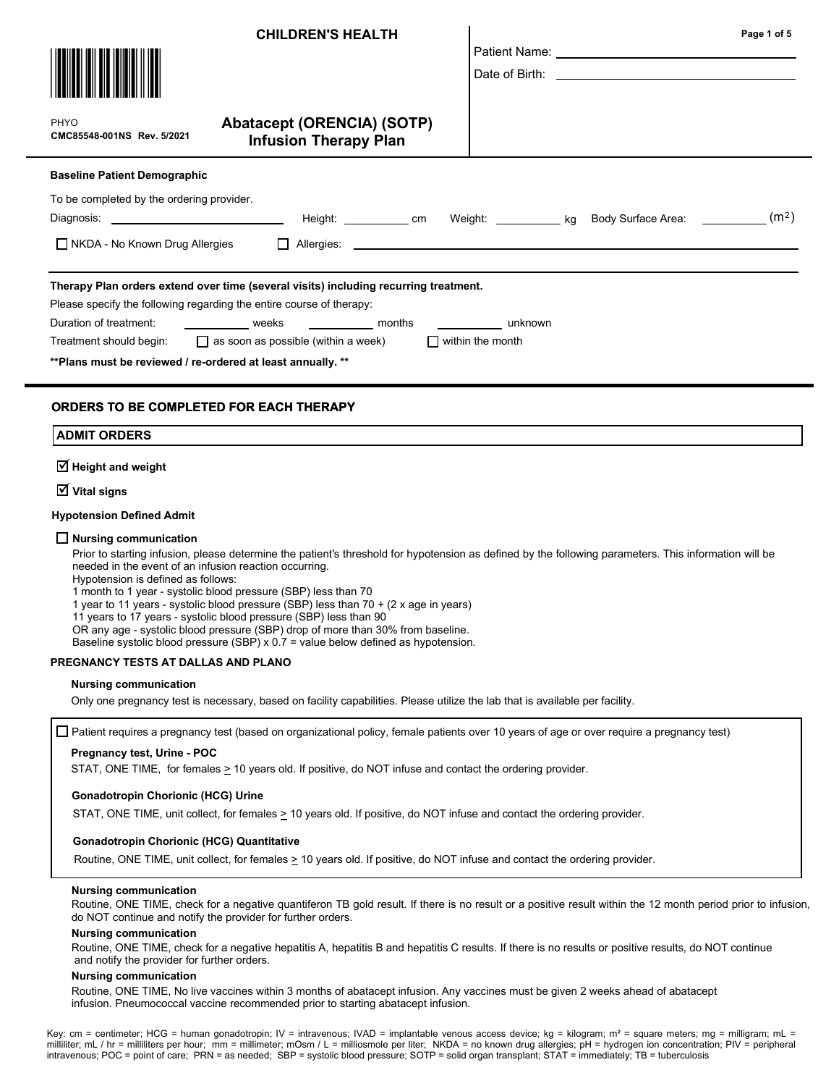|                                                                                                                              | <b>CHILDREN'S HEALTH</b>                                                                                                                                                                                                                                                                               |                                                                                  | Page 1 of 5       |
|------------------------------------------------------------------------------------------------------------------------------|--------------------------------------------------------------------------------------------------------------------------------------------------------------------------------------------------------------------------------------------------------------------------------------------------------|----------------------------------------------------------------------------------|-------------------|
| PHYO<br>CMC85548-001NS Rev. 5/2021                                                                                           | <b>Abatacept (ORENCIA) (SOTP)</b><br><b>Infusion Therapy Plan</b>                                                                                                                                                                                                                                      |                                                                                  |                   |
| <b>Baseline Patient Demographic</b>                                                                                          |                                                                                                                                                                                                                                                                                                        |                                                                                  |                   |
| To be completed by the ordering provider.<br>Diagnosis: ________________________________<br>□ NKDA - No Known Drug Allergies |                                                                                                                                                                                                                                                                                                        | Height: _____________ cm Weight: ____________ kg Body Surface Area: ____________ | (m <sup>2</sup> ) |
| ** Plans must be reviewed / re-ordered at least annually. **                                                                 | Therapy Plan orders extend over time (several visits) including recurring treatment.<br>Please specify the following regarding the entire course of therapy:<br>Duration of treatment: _______________ weeks ____________ months<br>Treatment should begin: $\Box$ as soon as possible (within a week) | <u>unknown</u><br>$\Box$ within the month                                        |                   |
| <b>ORDERS TO BE COMPLETED FOR EACH THERAPY</b><br><b>ADMIT ORDERS</b><br>$\overline{\triangleleft}$ Height and weight        |                                                                                                                                                                                                                                                                                                        |                                                                                  |                   |

 $\overline{\textsf{V}}$  Vital signs

#### Hypotension Defined Admit

#### $\Box$  Nursing communication

Prior to starting infusion, please determine the patient's threshold for hypotension as defined by the following parameters. This information will be needed in the event of an infusion reaction occurring.

Hypotension is defined as follows:

1 month to 1 year - systolic blood pressure (SBP) less than 70

1 year to 11 years - systolic blood pressure (SBP) less than 70 + (2 x age in years)

11 years to 17 years - systolic blood pressure (SBP) less than 90

OR any age - systolic blood pressure (SBP) drop of more than 30% from baseline.

Baseline systolic blood pressure (SBP) x  $0.7$  = value below defined as hypotension.

#### PREGNANCY TESTS AT DALLAS AND PLANO

#### Nursing communication

Only one pregnancy test is necessary, based on facility capabilities. Please utilize the lab that is available per facility.

 $\Box$  Patient requires a pregnancy test (based on organizational policy, female patients over 10 years of age or over require a pregnancy test)

#### Pregnancy test, Urine - POC

STAT, ONE TIME, for females  $\geq$  10 years old. If positive, do NOT infuse and contact the ordering provider.

#### Gonadotropin Chorionic (HCG) Urine

STAT, ONE TIME, unit collect, for females  $\geq 10$  years old. If positive, do NOT infuse and contact the ordering provider.

#### Gonadotropin Chorionic (HCG) Quantitative

Routine, ONE TIME, unit collect, for females  $\geq$  10 years old. If positive, do NOT infuse and contact the ordering provider.

#### Nursing communication

Routine, ONE TIME, check for a negative quantiferon TB gold result. If there is no result or a positive result within the 12 month period prior to infusion, do NOT continue and notify the provider for further orders.

#### Nursing communication

Routine, ONE TIME, check for a negative hepatitis A, hepatitis B and hepatitis C results. If there is no results or positive results, do NOT continue and notify the provider for further orders.

#### Nursing communication

Routine, ONE TIME, No live vaccines within 3 months of abatacept infusion. Any vaccines must be given 2 weeks ahead of abatacept infusion. Pneumococcal vaccine recommended prior to starting abatacept infusion.

Key: cm = centimeter; HCG = human gonadotropin; IV = intravenous; IVAD = implantable venous access device; kg = kilogram; m<sup>2</sup> = square meters; mg = milligram; mL = milliliter; mL / hr = milliliters per hour; mm = millimeter; mOsm / L = milliosmole per liter; NKDA = no known drug allergies; pH = hydrogen ion concentration; PIV = peripheral intravenous; POC = point of care; PRN = as needed; SBP = systolic blood pressure; SOTP = solid organ transplant; STAT = immediately; TB = tuberculosis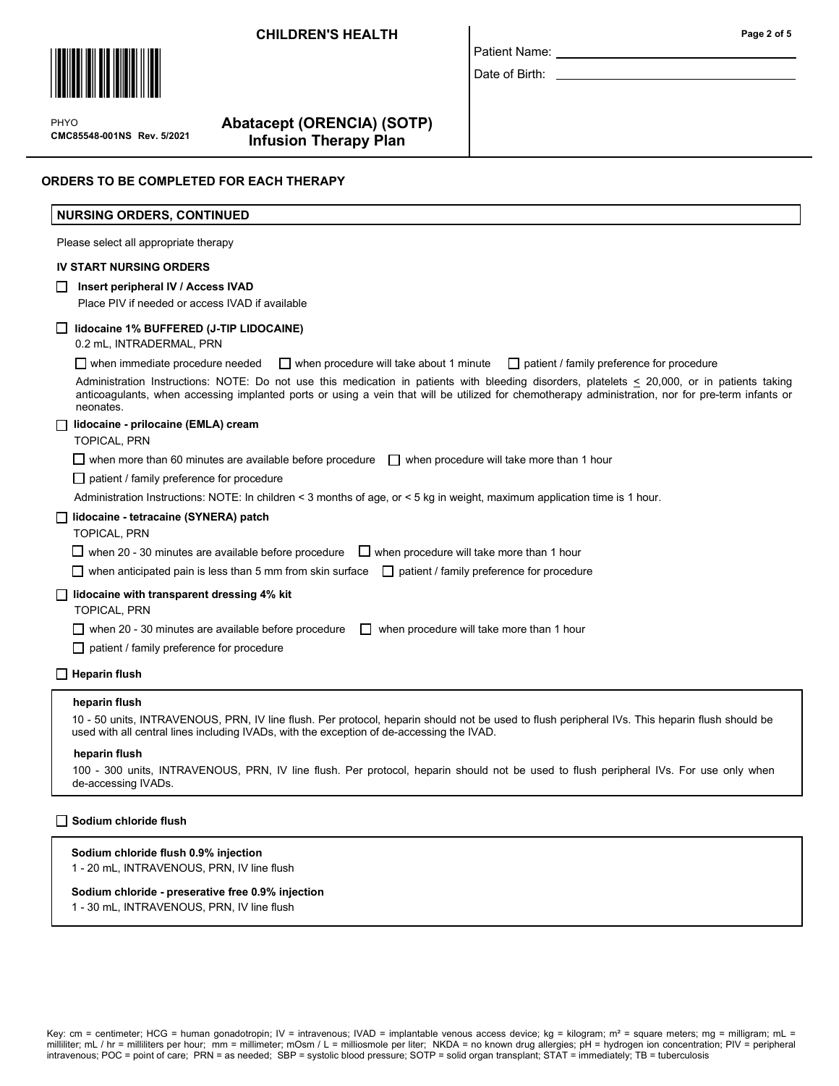## **CHILDREN'S HEALTH**



 $\mathbf{P}$ CMC85548-001NS Rev. 5/2021 PHYO

# Abatacept (ORENCIA) (SOTP) Infusion Therapy Plan

|  | Page 2 of 5 |  |  |  |
|--|-------------|--|--|--|
|--|-------------|--|--|--|

# ORDERS TO BE COMPLETED FOR EACH THERAPY

| <b>NURSING ORDERS, CONTINUED</b>                                                                                                                                                                                                                                                                               |
|----------------------------------------------------------------------------------------------------------------------------------------------------------------------------------------------------------------------------------------------------------------------------------------------------------------|
| Please select all appropriate therapy                                                                                                                                                                                                                                                                          |
| <b>IV START NURSING ORDERS</b>                                                                                                                                                                                                                                                                                 |
| Insert peripheral IV / Access IVAD<br>Place PIV if needed or access IVAD if available                                                                                                                                                                                                                          |
| lidocaine 1% BUFFERED (J-TIP LIDOCAINE)<br>0.2 mL, INTRADERMAL, PRN                                                                                                                                                                                                                                            |
| $\Box$ when immediate procedure needed<br>$\Box$ when procedure will take about 1 minute<br>$\Box$ patient / family preference for procedure                                                                                                                                                                   |
| Administration Instructions: NOTE: Do not use this medication in patients with bleeding disorders, platelets < 20,000, or in patients taking<br>anticoagulants, when accessing implanted ports or using a vein that will be utilized for chemotherapy administration, nor for pre-term infants or<br>neonates. |
| lidocaine - prilocaine (EMLA) cream<br><b>TOPICAL, PRN</b>                                                                                                                                                                                                                                                     |
| $\Box$ when more than 60 minutes are available before procedure<br>$\Box$ when procedure will take more than 1 hour                                                                                                                                                                                            |
| $\Box$ patient / family preference for procedure                                                                                                                                                                                                                                                               |
| Administration Instructions: NOTE: In children < 3 months of age, or < 5 kg in weight, maximum application time is 1 hour.                                                                                                                                                                                     |
| lidocaine - tetracaine (SYNERA) patch<br><b>TOPICAL, PRN</b>                                                                                                                                                                                                                                                   |
| $\Box$ when 20 - 30 minutes are available before procedure<br>$\Box$ when procedure will take more than 1 hour                                                                                                                                                                                                 |
| $\Box$ when anticipated pain is less than 5 mm from skin surface<br>$\Box$ patient / family preference for procedure                                                                                                                                                                                           |
| lidocaine with transparent dressing 4% kit<br><b>TOPICAL, PRN</b>                                                                                                                                                                                                                                              |
| $\Box$ when 20 - 30 minutes are available before procedure<br>$\Box$ when procedure will take more than 1 hour                                                                                                                                                                                                 |
| patient / family preference for procedure<br>$\Box$                                                                                                                                                                                                                                                            |
| <b>Heparin flush</b>                                                                                                                                                                                                                                                                                           |
| heparin flush                                                                                                                                                                                                                                                                                                  |
| 10 - 50 units, INTRAVENOUS, PRN, IV line flush. Per protocol, heparin should not be used to flush peripheral IVs. This heparin flush should be<br>used with all central lines including IVADs, with the exception of de-accessing the IVAD.                                                                    |

Patient Name: \_ Date of Birth: \_

#### heparin flush

100 - 300 units, INTRAVENOUS, PRN, IV line flush. Per protocol, heparin should not be used to flush peripheral IVs. For use only when de-accessing IVADs.

#### Sodium chloride flush

#### Sodium chloride flush 0.9% injection

1 - 20 mL, INTRAVENOUS, PRN, IV line flush

#### Sodium chloride - preserative free 0.9% injection

1 - 30 mL, INTRAVENOUS, PRN, IV line flush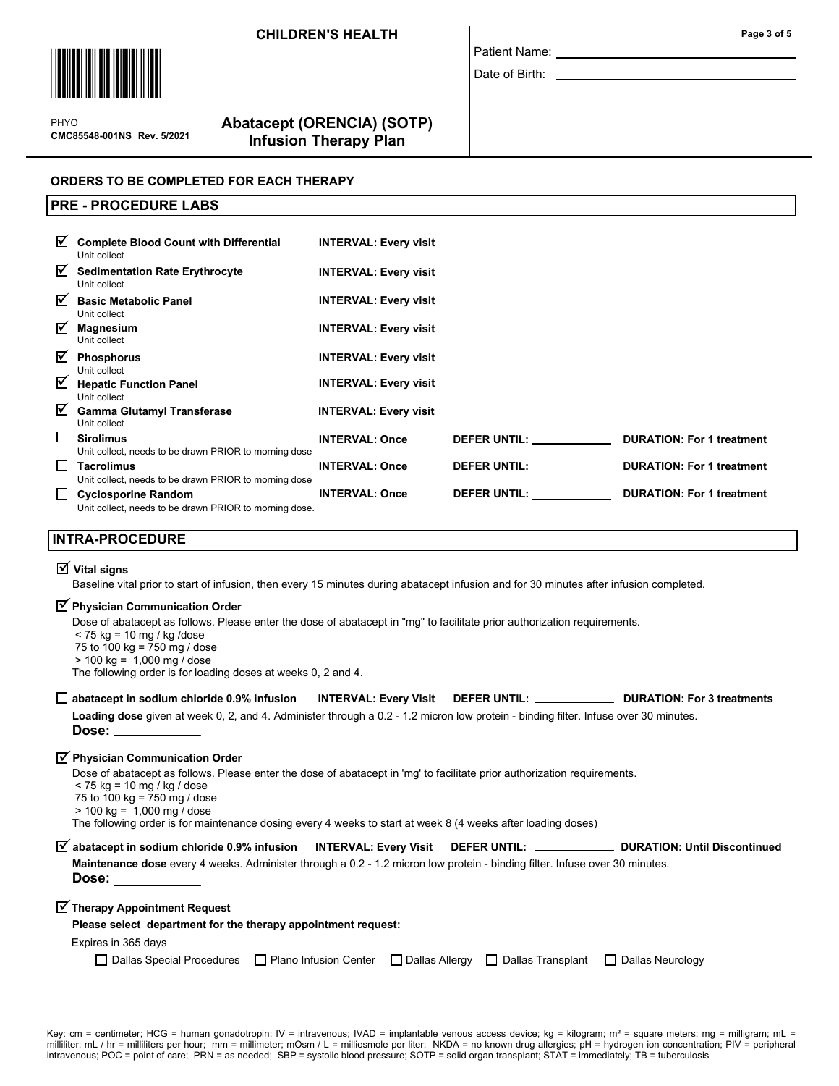## CHILDREN'S HEALTH **Page 3 of 5**



 $\mathbf{P}$ CMC85548-001NS Rev. 5/2021 PHYO

PRE - PROCEDURE LABS

# Abatacept (ORENCIA) (SOTP) Infusion Therapy Plan

# ORDERS TO BE COMPLETED FOR EACH THERAPY

| ☑      | <b>Complete Blood Count with Differential</b><br>Unit collect                        | <b>INTERVAL: Every visit</b> |                                |                                  |
|--------|--------------------------------------------------------------------------------------|------------------------------|--------------------------------|----------------------------------|
| ⊠      | <b>Sedimentation Rate Erythrocyte</b><br>Unit collect                                | <b>INTERVAL: Every visit</b> |                                |                                  |
| ☑      | <b>Basic Metabolic Panel</b><br>Unit collect                                         | <b>INTERVAL: Every visit</b> |                                |                                  |
| ☑      | <b>Magnesium</b><br>Unit collect                                                     | <b>INTERVAL: Every visit</b> |                                |                                  |
| ☑      | <b>Phosphorus</b><br>Unit collect                                                    | <b>INTERVAL: Every visit</b> |                                |                                  |
| ⊽      | <b>Hepatic Function Panel</b><br>Unit collect                                        | <b>INTERVAL: Every visit</b> |                                |                                  |
| ☑      | <b>Gamma Glutamyl Transferase</b><br>Unit collect                                    | <b>INTERVAL: Every visit</b> |                                |                                  |
| $\Box$ | <b>Sirolimus</b><br>Unit collect, needs to be drawn PRIOR to morning dose            | <b>INTERVAL: Once</b>        | DEFER UNTIL: ____________      | <b>DURATION: For 1 treatment</b> |
| $\Box$ | Tacrolimus<br>Unit collect, needs to be drawn PRIOR to morning dose                  | <b>INTERVAL: Once</b>        | DEFER UNTIL: New York Products | <b>DURATION: For 1 treatment</b> |
| ப      | <b>Cyclosporine Random</b><br>Unit collect, needs to be drawn PRIOR to morning dose. | <b>INTERVAL: Once</b>        | DEFER UNTIL:                   | <b>DURATION: For 1 treatment</b> |

Patient Name: Date of Birth: \_

## INTRA-PROCEDURE

# $\overline{\textsf{y}}$  Vital signs

Baseline vital prior to start of infusion, then every 15 minutes during abatacept infusion and for 30 minutes after infusion completed.

# $\overline{\textbf{y}}$  Physician Communication Order

| Dose of abatacept as follows. Please enter the dose of abatacept in "mg" to facilitate prior authorization requirements. |  |
|--------------------------------------------------------------------------------------------------------------------------|--|
| < 75 kg = 10 mg / kg /dose                                                                                               |  |
| 75 to 100 kg = 750 mg / dose                                                                                             |  |
| $>$ 100 kg = 1,000 mg / dose                                                                                             |  |
| The following order is for loading doses at weeks 0, 2 and 4.                                                            |  |
|                                                                                                                          |  |

|                                                                                                                                     | INTERVAL: Every Visit DEFER UNTIL: _____________ | <b>DURATION: For 3 treatments</b> |
|-------------------------------------------------------------------------------------------------------------------------------------|--------------------------------------------------|-----------------------------------|
| Loading dose given at week 0, 2, and 4. Administer through a 0.2 - 1.2 micron low protein - binding filter. Infuse over 30 minutes. |                                                  |                                   |
| Dose: ___________                                                                                                                   |                                                  |                                   |

# $\overline{\textbf{y}}$  Physician Communication Order

Dose of abatacept as follows. Please enter the dose of abatacept in 'mg' to facilitate prior authorization requirements.

- < 75 kg = 10 mg / kg / dose
- 75 to  $100 \text{ kg} = 750 \text{ mg}$  / dose > 100 kg = 1,000 mg / dose

The following order is for maintenance dosing every 4 weeks to start at week 8 (4 weeks after loading doses)

| $\overline{M}$ abatacept in sodium chloride 0.9% infusion MTERVAL: Every Visit DEFER UNTIL: _____________ DURATION: Until Discontinued |  |  |
|----------------------------------------------------------------------------------------------------------------------------------------|--|--|
| <b>Maintenance dose</b> every 4 weeks. Administer through a 0.2 - 1.2 micron low protein - binding filter. Infuse over 30 minutes.     |  |  |
| Dose:                                                                                                                                  |  |  |

# $\overline{\textbf{y}}$  Therapy Appointment Request

## Please select department for the therapy appointment request:

Expires in 365 days

|  | □ Dallas Special Procedures □ Plano Infusion Center □ Dallas Allergy □ Dallas Transplant □ Dallas Neurology |  |  |  |
|--|-------------------------------------------------------------------------------------------------------------|--|--|--|
|--|-------------------------------------------------------------------------------------------------------------|--|--|--|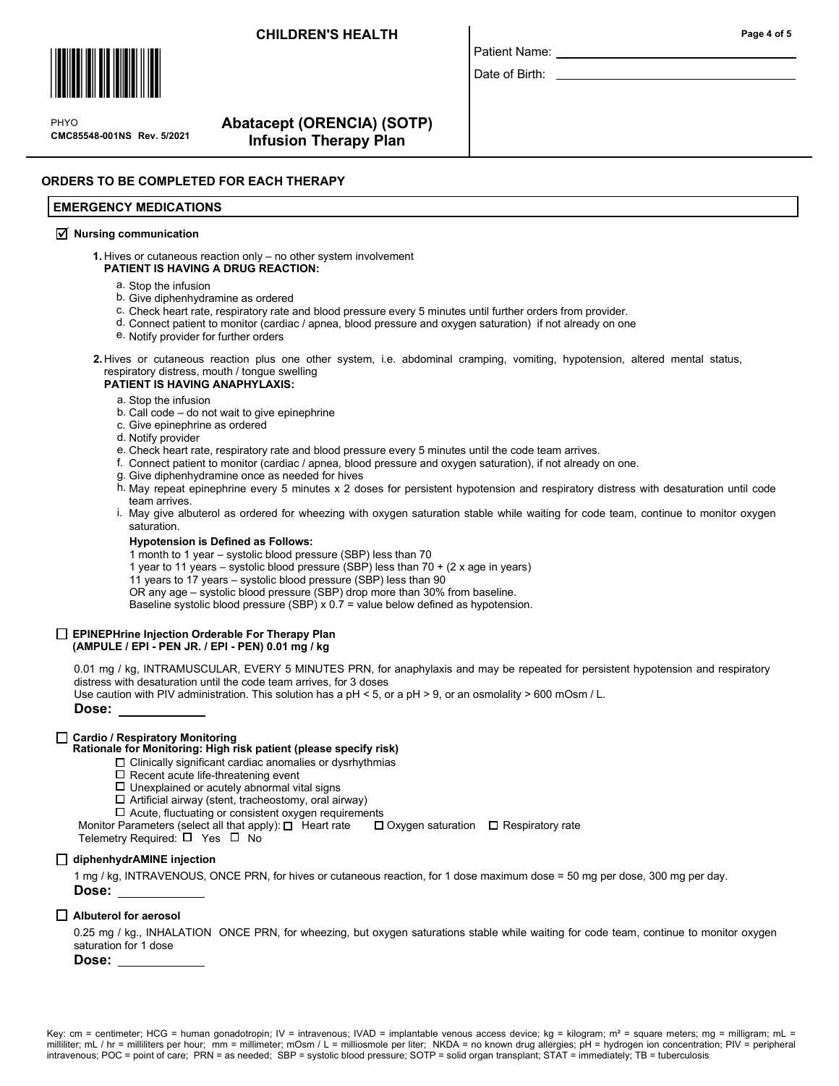## CHILDREN'S HEALTH Page 4 of 5



 $\mathbf{P}$ CMC85548-001NS Rev. 5/2021 PHYO

# Abatacept (ORENCIA) (SOTP) Infusion Therapy Plan

## ORDERS TO BE COMPLETED FOR EACH THERAPY

#### EMERGENCY MEDICATIONS

# $\overline{\mathcal{A}}$  Nursing communication

1. Hives or cutaneous reaction only – no other system involvement PATIENT IS HAVING A DRUG REACTION:

- a. Stop the infusion
- b. Give diphenhydramine as ordered
- c. Check heart rate, respiratory rate and blood pressure every 5 minutes until further orders from provider.
- d. Connect patient to monitor (cardiac / apnea, blood pressure and oxygen saturation) if not already on one
- e. Notify provider for further orders
- 2. Hives or cutaneous reaction plus one other system, i.e. abdominal cramping, vomiting, hypotension, altered mental status, respiratory distress, mouth / tongue swelling

#### PATIENT IS HAVING ANAPHYLAXIS:

a. Stop the infusion

- b. Call code do not wait to give epinephrine
- c. Give epinephrine as ordered
- d. Notify provider
- e. Check heart rate, respiratory rate and blood pressure every 5 minutes until the code team arrives.
- f. Connect patient to monitor (cardiac / apnea, blood pressure and oxygen saturation), if not already on one.
- Give diphenhydramine once as needed for hives g.
- h. May repeat epinephrine every 5 minutes x 2 doses for persistent hypotension and respiratory distress with desaturation until code team arrives.

Patient Name: Date of Birth:

i. May give albuterol as ordered for wheezing with oxygen saturation stable while waiting for code team, continue to monitor oxygen saturation.

#### Hypotension is Defined as Follows:

1 month to 1 year – systolic blood pressure (SBP) less than 70

- 1 year to 11 years systolic blood pressure (SBP) less than 70 + (2 x age in years)
- 11 years to 17 years systolic blood pressure (SBP) less than 90
- OR any age systolic blood pressure (SBP) drop more than 30% from baseline.

Baseline systolic blood pressure (SBP) x  $0.7$  = value below defined as hypotension.

#### $\Box$  EPINEPHrine Injection Orderable For Therapy Plan (AMPULE / EPI - PEN JR. / EPI - PEN) 0.01 mg / kg

0.01 mg / kg, INTRAMUSCULAR, EVERY 5 MINUTES PRN, for anaphylaxis and may be repeated for persistent hypotension and respiratory distress with desaturation until the code team arrives, for 3 doses Use caution with PIV administration. This solution has a pH < 5, or a pH > 9, or an osmolality > 600 mOsm / L.

Dose:

#### □ Cardio / Respiratory Monitoring

### Rationale for Monitoring: High risk patient (please specify risk)

- $\Box$  Clinically significant cardiac anomalies or dysrhythmias
- $\square$  Recent acute life-threatening event
- $\Box$ <br> Unexplained or acutely abnormal vital signs
- $\Box$  Artificial airway (stent, tracheostomy, oral airway)
- $\Box$  Acute, fluctuating or consistent oxygen requirements
- Monitor Parameters (select all that apply):  $\Box$  Heart rate  $\Box$  Oxygen saturation  $\Box$  Respiratory rate
- Telemetry Required:  $\square$  Yes  $\square$  No

#### □ diphenhydrAMINE injection

1 mg / kg, INTRAVENOUS, ONCE PRN, for hives or cutaneous reaction, for 1 dose maximum dose = 50 mg per dose, 300 mg per day. Dose:

#### $\Box$  Albuterol for aerosol

0.25 mg / kg., INHALATION ONCE PRN, for wheezing, but oxygen saturations stable while waiting for code team, continue to monitor oxygen saturation for 1 dose

Dose: